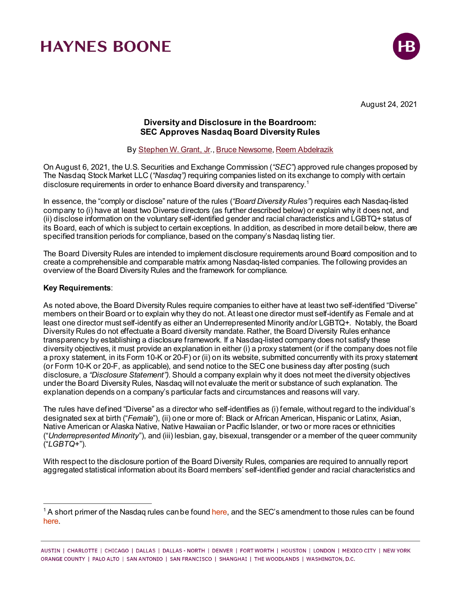

August 24, 2021

### **Diversity and Disclosure in the Boardroom: SEC Approves Nasdaq Board Diversity Rules**

By [Stephen W. Grant, Jr.](https://www.haynesboone.com/people/grant-stephen)[, Bruce Newsome](https://www.haynesboone.com/people/newsome-bruce)[, Reem Abdelrazik](https://www.haynesboone.com/people/abdelrazik-reem)

On August 6, 2021, the U.S. Securities and Exchange Commission (*"SEC"*) approved rule changes proposed by The Nasdaq Stock Market LLC (*"Nasdaq")* requiring companies listed on its exchange to comply with certain disclosure requirements in order to enhance Board diversity and transparency.[1](#page-0-0)

In essence, the "comply or disclose" nature of the rules (*"Board Diversity Rules"*) requires each Nasdaq-listed company to (i) have at least two Diverse directors (as further described below) or explain why it does not, and (ii) disclose information on the voluntary self-identified gender and racial characteristics and LGBTQ+ status of its Board, each of which is subject to certain exceptions. In addition, as described in more detail below, there are specified transition periods for compliance, based on the company's Nasdaq listing tier.

The Board Diversity Rules are intended to implement disclosure requirements around Board composition and to create a comprehensible and comparable matrix among Nasdaq-listed companies. The following provides an overview of the Board Diversity Rules and the framework for compliance.

### **Key Requirements**:

As noted above, the Board Diversity Rules require companies to either have at least two self-identified "Diverse" members on their Board or to explain why they do not. At least one director must self-identify as Female and at least one director must self-identify as either an Underrepresented Minority and/or LGBTQ+. Notably, the Board Diversity Rules do not effectuate a Board diversity mandate. Rather, the Board Diversity Rules enhance transparency by establishing a disclosure framework. If a Nasdaq-listed company does not satisfy these diversity objectives, it must provide an explanation in either (i) a proxy statement (or if the company does not file a proxy statement, in its Form 10-K or 20-F) or (ii) on its website, submitted concurrently with its proxy statement (or Form 10-K or 20-F, as applicable), and send notice to the SEC one business day after posting (such disclosure, a *"Disclosure Statement").* Should a company explain why it does not meet the diversity objectives under the Board Diversity Rules, Nasdaq will not evaluate the merit or substance of such explanation. The explanation depends on a company's particular facts and circumstances and reasons will vary.

The rules have defined "Diverse" as a director who self-identifies as (i) female, without regard to the individual's designated sex at birth ("*Female*"), (ii) one or more of: Black or African American, Hispanic or Latinx, Asian, Native American or Alaska Native, Native Hawaiian or Pacific Islander, or two or more races or ethnicities ("*Underrepresented Minority*"), and (iii) lesbian, gay, bisexual, transgender or a member of the queer community ("*LGBTQ+*").

With respect to the disclosure portion of the Board Diversity Rules, companies are required to annually report aggregated statistical information about its Board members' self-identified gender and racial characteristics and

<span id="page-0-0"></span><sup>&</sup>lt;sup>1</sup> A short primer of the Nasdaq rules can be foun[d here,](https://listingcenter.nasdaq.com/assets/Board%20Diversity%20Disclosure%20Five%20Things.pdf) and the SEC's amendment to those rules can be found [here.](https://listingcenter.nasdaq.com/assets/RuleBook/Nasdaq/filings/SR-NASDAQ-2020-081_Amendment_1.pdf)

AUSTIN | CHARLOTTE | CHICAGO | DALLAS | DALLAS - NORTH | DENVER | FORT WORTH | HOUSTON | LONDON | MEXICO CITY | NEW YORK ORANGE COUNTY | PALO ALTO | SAN ANTONIO | SAN FRANCISCO | SHANGHAI | THE WOODLANDS | WASHINGTON, D.C.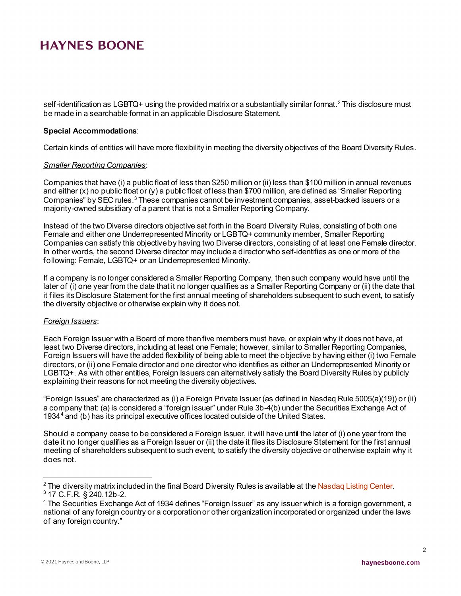self-identification as LGBTQ+ using the provided matrix or a substantially similar format.<sup>[2](#page-1-0)</sup> This disclosure must be made in a searchable format in an applicable Disclosure Statement.

#### **Special Accommodations**:

Certain kinds of entities will have more flexibility in meeting the diversity objectives of the Board Diversity Rules.

#### *Smaller Reporting Companies*:

Companies that have (i) a public float of less than \$250 million or (ii) less than \$100 million in annual revenues and either (x) no public float or (y) a public float of less than \$700 million, are defined as "Smaller Reporting Companies" by SEC rules.<sup>[3](#page-1-1)</sup> These companies cannot be investment companies, asset-backed issuers or a majority-owned subsidiary of a parent that is not a Smaller Reporting Company.

Instead of the two Diverse directors objective set forth in the Board Diversity Rules, consisting of both one Female and either one Underrepresented Minority or LGBTQ+ community member, Smaller Reporting Companies can satisfy this objective by having two Diverse directors, consisting of at least one Female director. In other words, the second Diverse director may include a director who self-identifies as one or more of the following: Female, LGBTQ+ or an Underrepresented Minority.

If a company is no longer considered a Smaller Reporting Company, then such company would have until the later of (i) one year from the date that it no longer qualifies as a Smaller Reporting Company or (ii) the date that it files its Disclosure Statement for the first annual meeting of shareholders subsequent to such event, to satisfy the diversity objective or otherwise explain why it does not.

#### *Foreign Issuers*:

Each Foreign Issuer with a Board of more than five members must have, or explain why it does not have, at least two Diverse directors, including at least one Female; however, similar to Smaller Reporting Companies, Foreign Issuers will have the added flexibility of being able to meet the objective by having either (i) two Female directors, or (ii) one Female director and one director who identifies as either an Underrepresented Minority or LGBTQ+. As with other entities, Foreign Issuers can alternatively satisfy the Board Diversity Rules by publicly explaining their reasons for not meeting the diversity objectives.

"Foreign Issues" are characterized as (i) a Foreign Private Issuer (as defined in Nasdaq Rule 5005(a)(19)) or (ii) a company that: (a) is considered a "foreign issuer" under Rule 3b-4(b) under the Securities Exchange Act of 1934[4](#page-1-2) and (b) has its principal executive offices located outside of the United States.

Should a company cease to be considered a Foreign Issuer, it will have until the later of (i) one year from the date it no longer qualifies as a Foreign Issuer or (ii) the date it files its Disclosure Statement for the first annual meeting of shareholders subsequent to such event, to satisfy the diversity objective or otherwise explain why it does not.

<span id="page-1-1"></span><span id="page-1-0"></span><sup>&</sup>lt;sup>2</sup> The diversity matrix included in the final Board Diversity Rules is available at the <mark>Nasdaq Listing Center.</mark><br><sup>3</sup> 17 C.F.R. § 240.12b-2.

<span id="page-1-2"></span><sup>4</sup> The Securities Exchange Act of 1934 defines "Foreign Issuer" as any issuer which is a foreign government, a national of any foreign country or a corporation or other organization incorporated or organized under the laws of any foreign country."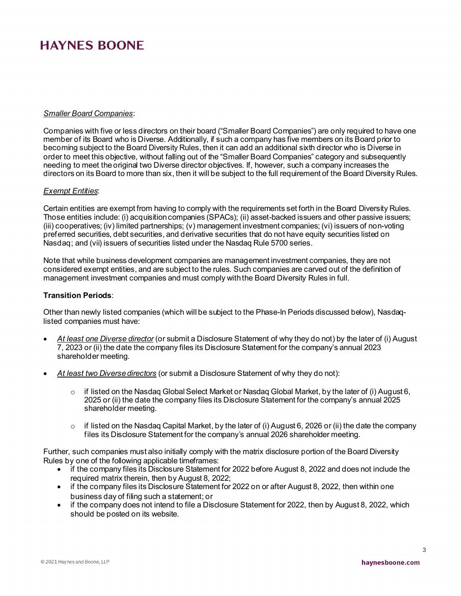#### *Smaller Board Companies*:

Companies with five or less directors on their board ("Smaller Board Companies") are only required to have one member of its Board who is Diverse. Additionally, if such a company has five members on its Board prior to becoming subject to the Board Diversity Rules, then it can add an additional sixth director who is Diverse in order to meet this objective, without falling out of the "Smaller Board Companies" category and subsequently needing to meet the original two Diverse director objectives. If, however, such a company increases the directors on its Board to more than six, then it will be subject to the full requirement of the Board Diversity Rules.

#### *Exempt Entities*:

Certain entities are exempt from having to comply with the requirements set forth in the Board Diversity Rules. Those entities include: (i) acquisition companies (SPACs); (ii) asset-backed issuers and other passive issuers; (iii) cooperatives; (iv) limited partnerships; (v) management investment companies; (vi) issuers of non-voting preferred securities, debt securities, and derivative securities that do not have equity securities listed on Nasdaq; and (vii) issuers of securities listed under the Nasdaq Rule 5700 series.

Note that while business development companies are management investment companies, they are not considered exempt entities, and are subject to the rules. Such companies are carved out of the definition of management investment companies and must comply with the Board Diversity Rules in full.

#### **Transition Periods**:

Other than newly listed companies (which will be subject to the Phase-In Periods discussed below), Nasdaqlisted companies must have:

- *At least one Diverse director* (or submit a Disclosure Statement of why they do not) by the later of (i) August 7, 2023 or (ii) the date the company files its Disclosure Statement for the company's annual 2023 shareholder meeting.
- *At least two Diverse directors* (or submit a Disclosure Statement of why they do not):
	- $\circ$  if listed on the Nasdaq Global Select Market or Nasdaq Global Market, by the later of (i) August 6, 2025 or (ii) the date the company files its Disclosure Statement for the company's annual 2025 shareholder meeting.
	- $\circ$  if listed on the Nasdaq Capital Market, by the later of (i) August 6, 2026 or (ii) the date the company files its Disclosure Statement for the company's annual 2026 shareholder meeting.

Further, such companies must also initially comply with the matrix disclosure portion of the Board Diversity Rules by one of the following applicable timeframes:

- if the company files its Disclosure Statement for 2022 before August 8, 2022 and does not include the required matrix therein, then by August 8, 2022;
- if the company files its Disclosure Statement for 2022 on or after August 8, 2022, then within one business day of filing such a statement; or
- if the company does not intend to file a Disclosure Statement for 2022, then by August 8, 2022, which should be posted on its website.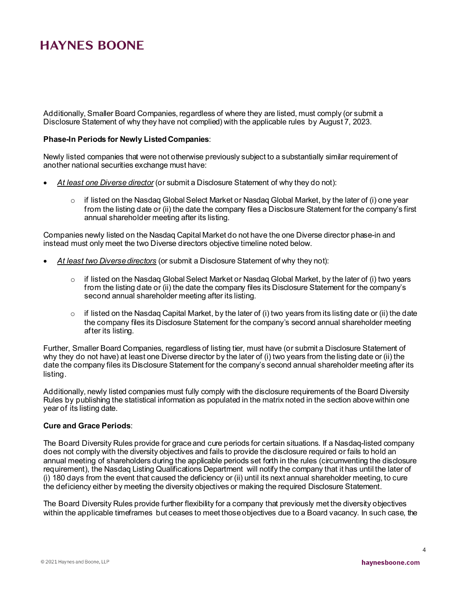Additionally, Smaller Board Companies, regardless of where they are listed, must comply (or submit a Disclosure Statement of why they have not complied) with the applicable rules by August 7, 2023.

#### **Phase-In Periods for Newly Listed Companies**:

Newly listed companies that were not otherwise previously subject to a substantially similar requirement of another national securities exchange must have:

- *At least one Diverse director* (or submit a Disclosure Statement of why they do not):
	- $\circ$  if listed on the Nasdaq Global Select Market or Nasdaq Global Market, by the later of (i) one year from the listing date or (ii) the date the company files a Disclosure Statement for the company's first annual shareholder meeting after its listing.

Companies newly listed on the Nasdaq Capital Market do not have the one Diverse director phase-in and instead must only meet the two Diverse directors objective timeline noted below.

- *At least two Diverse directors* (or submit a Disclosure Statement of why they not):
	- $\circ$  if listed on the Nasdaq Global Select Market or Nasdaq Global Market, by the later of (i) two years from the listing date or (ii) the date the company files its Disclosure Statement for the company's second annual shareholder meeting after its listing.
	- $\circ$  if listed on the Nasdaq Capital Market, by the later of (i) two years from its listing date or (ii) the date the company files its Disclosure Statement for the company's second annual shareholder meeting after its listing.

Further, Smaller Board Companies, regardless of listing tier, must have (or submit a Disclosure Statement of why they do not have) at least one Diverse director by the later of (i) two years from the listing date or (ii) the date the company files its Disclosure Statement for the company's second annual shareholder meeting after its listing.

Additionally, newly listed companies must fully comply with the disclosure requirements of the Board Diversity Rules by publishing the statistical information as populated in the matrix noted in the section above within one year of its listing date.

#### **Cure and Grace Periods**:

The Board Diversity Rules provide for grace and cure periods for certain situations. If a Nasdaq-listed company does not comply with the diversity objectives and fails to provide the disclosure required or fails to hold an annual meeting of shareholders during the applicable periods set forth in the rules (circumventing the disclosure requirement), the Nasdaq Listing Qualifications Department will notify the company that it has until the later of (i) 180 days from the event that caused the deficiency or (ii) until its next annual shareholder meeting, to cure the deficiency either by meeting the diversity objectives or making the required Disclosure Statement.

The Board Diversity Rules provide further flexibility for a company that previously met the diversity objectives within the applicable timeframes but ceases to meet those objectives due to a Board vacancy. In such case, the